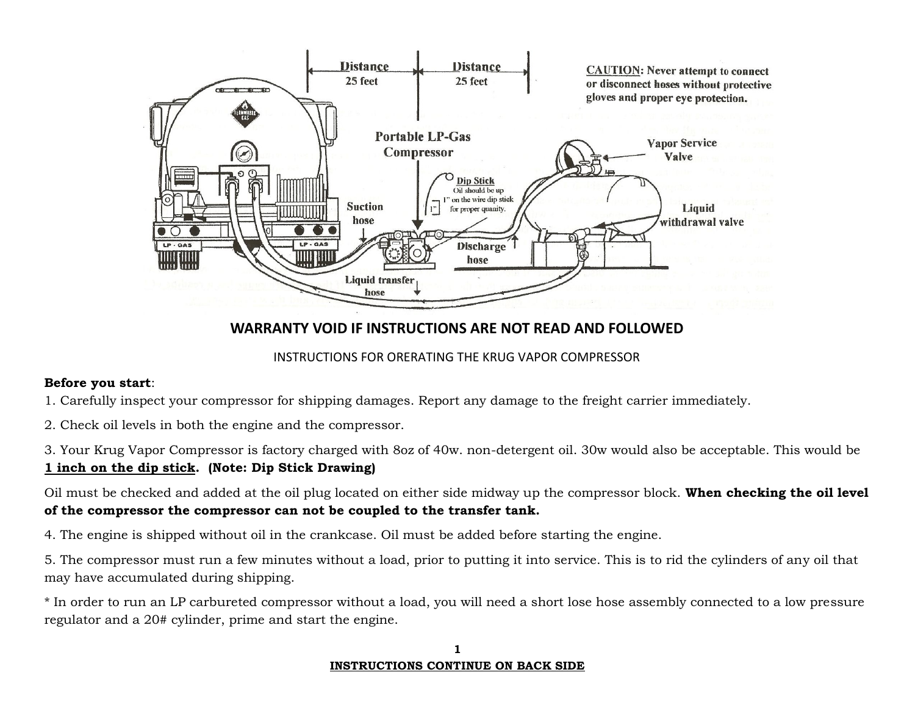

# **WARRANTY VOID IF INSTRUCTIONS ARE NOT READ AND FOLLOWED**

# INSTRUCTIONS FOR ORERATING THE KRUG VAPOR COMPRESSOR

## **Before you start**:

1. Carefully inspect your compressor for shipping damages. Report any damage to the freight carrier immediately.

2. Check oil levels in both the engine and the compressor.

3. Your Krug Vapor Compressor is factory charged with 8oz of 40w. non-detergent oil. 30w would also be acceptable. This would be

# **1 inch on the dip stick. (Note: Dip Stick Drawing)**

Oil must be checked and added at the oil plug located on either side midway up the compressor block. **When checking the oil level of the compressor the compressor can not be coupled to the transfer tank.**

4. The engine is shipped without oil in the crankcase. Oil must be added before starting the engine.

5. The compressor must run a few minutes without a load, prior to putting it into service. This is to rid the cylinders of any oil that may have accumulated during shipping.

\* In order to run an LP carbureted compressor without a load, you will need a short lose hose assembly connected to a low pressure regulator and a 20# cylinder, prime and start the engine.

#### **1 INSTRUCTIONS CONTINUE ON BACK SIDE**